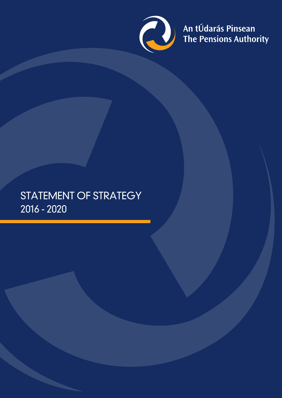

An tÚdarás Pinsean<br>The Pensions Authority

## STATEMENT OF STRATEGY 2016 - 2020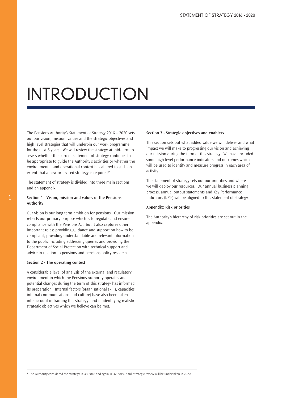# INTRODUCTION

The Pensions Authority's Statement of Strategy 2016 – 2020 sets out our vision, mission, values and the strategic objectives and high level strategies that will underpin our work programme for the next 5 years. We will review the strategy at mid-term to assess whether the current statement of strategy continues to be appropriate to guide the Authority's activities or whether the environmental and operational context has altered to such an extent that a new or revised strategy is required\*.

The statement of strategy is divided into three main sections and an appendix.

### **Section 1 - Vision, mission and values of the Pensions Authority**

Our vision is our long term ambition for pensions. Our mission reflects our primary purpose which is to regulate and ensure compliance with the Pensions Act, but it also captures other important roles: providing guidance and support on how to be compliant; providing understandable and relevant information to the public including addressing queries and providing the Department of Social Protection with technical support and advice in relation to pensions and pensions policy research.

### **Section 2 - The operating context**

A considerable level of analysis of the external and regulatory environment in which the Pensions Authority operates and potential changes during the term of this strategy has informed its preparation. Internal factors (organisational skills, capacities, internal communications and culture) have also been taken into account in framing this strategy and in identifying realistic strategic objectives which we believe can be met.

#### **Section 3 - Strategic objectives and enablers**

This section sets out what added value we will deliver and what impact we will make to progressing our vision and achieving our mission during the term of this strategy. We have included some high level performance indicators and outcomes which will be used to identify and measure progress in each area of activity.

The statement of strategy sets out our priorities and where we will deploy our resources. Our annual business planning process, annual output statements and Key Performance Indicators (KPIs) will be aligned to this statement of strategy.

### **Appendix: Risk priorities**

The Authority's hierarchy of risk priorities are set out in the appendix.

\* The Authority considered the strategy in Q3 2018 and again in Q2 2019. A full strategic review will be undertaken in 2020.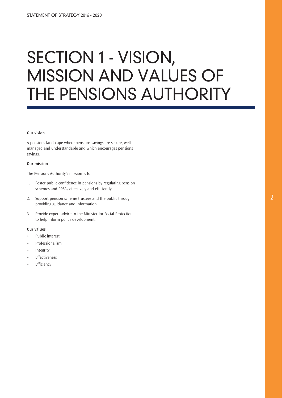# SECTION 1 - VISION, MISSION AND VALUES OF THE PENSIONS AUTHORITY

### **Our vision**

A pensions landscape where pensions savings are secure, wellmanaged and understandable and which encourages pensions savings.

### **Our mission**

The Pensions Authority's mission is to:

- 1. Foster public confidence in pensions by regulating pension schemes and PRSAs effectively and efficiently.
- 2. Support pension scheme trustees and the public through providing guidance and information.
- 3. Provide expert advice to the Minister for Social Protection to help inform policy development.

### **Our values**

- Public interest
- Professionalism
- Integrity
- Effectiveness
- **Efficiency**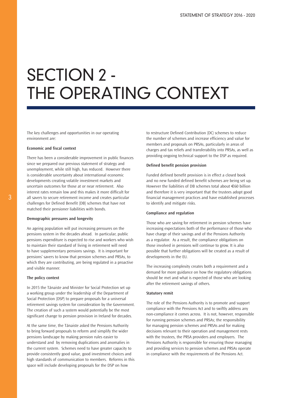# SECTION 2 - THE OPERATING CONTEXT

The key challenges and opportunities in our operating environment are:

### **Economic and fiscal context**

There has been a considerable improvement in public finances since we prepared our previous statement of strategy and unemployment, while still high, has reduced. However there is considerable uncertainty about international economic developments creating volatile investment markets and uncertain outcomes for those at or near retirement. Also interest rates remain low and this makes it more difficult for all savers to secure retirement income and creates particular challenges for Defined Benefit (DB) schemes that have not matched their pensioner liabilities with bonds.

#### **Demographic pressures and longevity**

An ageing population will put increasing pressures on the pensions system in the decades ahead. In particular, public pensions expenditure is expected to rise and workers who wish to maintain their standard of living in retirement will need to have supplementary pensions savings. It is important for pensions' savers to know that pension schemes and PRSAs, to which they are contributing, are being regulated in a proactive and visible manner.

### **The policy context**

In 2015 the Tánaiste and Minister for Social Protection set up a working group under the leadership of the Department of Social Protection (DSP) to prepare proposals for a universal retirement savings system for consideration by the Government. The creation of such a system would potentially be the most significant change to pension provision in Ireland for decades.

At the same time, the Tánaiste asked the Pensions Authority to bring forward proposals to reform and simplify the wider pensions landscape by making pension rules easier to understand and by removing duplications and anomalies in the current system. Schemes need to have greater capacity to provide consistently good value, good investment choices and high standards of communication to members. Reforms in this space will include developing proposals for the DSP on how

to restructure Defined Contribution (DC) schemes to reduce the number of schemes and increase efficiency and value for members and proposals on PRSAs, particularly in areas of charges and tax reliefs and transferability into PRSAs, as well as providing ongoing technical support to the DSP as required.

#### **Defined benefit pension provision**

Funded defined benefit provision is in effect a closed book and no new funded defined benefit schemes are being set up. However the liabilities of DB schemes total about €60 billion and therefore it is very important that the trustees adopt good financial management practices and have established processes to identify and mitigate risks.

#### **Compliance and regulation**

Those who are saving for retirement in pension schemes have increasing expectations both of the performance of those who have charge of their savings and of the Pensions Authority as a regulator. As a result, the compliance obligations on those involved in pensions will continue to grow. It is also possible that further obligations will be created as a result of developments in the EU.

The increasing complexity creates both a requirement and a demand for more guidance on how the regulatory obligations should be met and what is expected of those who are looking after the retirement savings of others.

### **Statutory remit**

The role of the Pensions Authority is to promote and support compliance with the Pensions Act and to swiftly address any non-compliance it comes across. It is not, however, responsible for running pension schemes and PRSAs; the responsibility for managing pension schemes and PRSAs and for making decisions relevant to their operation and management rests with the trustees, the PRSA providers and employers. The Pensions Authority is responsible for ensuring those managing and providing services to pension schemes and PRSAs operate in compliance with the requirements of the Pensions Act.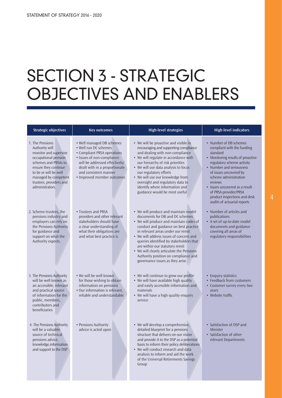# SECTION 3 - STRATEGIC OBJECTIVES AND ENABLERS

| <b>Strategic objectives</b>                                                                                                                                                                                                       | <b>Key outcomes</b>                                                                                                                                                                                                                       | <b>High-level strategies</b>                                                                                                                                                                                                                                                                                                                                                                                                                      | <b>High-level indicators</b>                                                                                                                                                                                                                                                                                                                            |
|-----------------------------------------------------------------------------------------------------------------------------------------------------------------------------------------------------------------------------------|-------------------------------------------------------------------------------------------------------------------------------------------------------------------------------------------------------------------------------------------|---------------------------------------------------------------------------------------------------------------------------------------------------------------------------------------------------------------------------------------------------------------------------------------------------------------------------------------------------------------------------------------------------------------------------------------------------|---------------------------------------------------------------------------------------------------------------------------------------------------------------------------------------------------------------------------------------------------------------------------------------------------------------------------------------------------------|
| 1. The Pensions<br>Authority will<br>monitor and supervise<br>occupational pension<br>schemes and PRSAs to<br>ensure they continue<br>to be or will be well<br>managed by competent<br>trustees, providers and<br>administrators. | • Well managed DB schemes<br>• Well run DC schemes<br>• Compliant PRSA operations<br>• Issues of non-compliance<br>will be addressed effectively/<br>dealt with in a proportionate<br>and consistent manner<br>• Improved member outcomes | • We will be proactive and visible in<br>encouraging and supporting compliance<br>and dealing with non-compliance<br>• We will regulate in accordance with<br>our hierarchy of risk priorities<br>• We will use data analysis to focus<br>our regulatory efforts<br>• We will use our knowledge from<br>oversight and regulatory data to<br>identify where information and<br>guidance would be most useful                                       | • Number of DB schemes<br>compliant with the funding<br>standard<br>• Monitoring results of proactive<br>regulatory scheme activity<br>• Number and seriousness<br>of issues uncovered by<br>scheme administration<br>reviews<br>• Issues uncovered as a result<br>of PRSA provider/PRSA<br>product inspections and desk<br>audits of actuarial reports |
| 2. Scheme trustees, the<br>pensions industry and<br>employers can rely on<br>the Pensions Authority<br>for guidance and<br>support on what the<br>Authority expects.                                                              | • Trustees and PRSA<br>providers and other relevant<br>stakeholders should have<br>a clear understanding of<br>what their obligations are<br>and what best practice is                                                                    | • We will produce and maintain model<br>documents for DB and DC schemes<br>• We will produce and maintain codes of<br>conduct and guidance on best practice<br>in relevant areas under our remit<br>• We will address issues of concern and<br>queries identified by stakeholders that<br>are within our statutory remit<br>• We will clearly articulate the Pensions<br>Authority position on compliance and<br>governance issues as they arise. | • Number of articles and<br>publications<br>• A set of up-to-date model<br>documents and guidance<br>covering all areas of<br>regulatory responsibilities                                                                                                                                                                                               |
| 3. The Pensions Authority<br>will be well known as<br>an accessible, relevant<br>and practical source<br>of information for the<br>public, members,<br>contributors and<br>beneficiaries                                          | • We will be well known<br>for those wishing to obtain<br>information on pensions<br>• Our information is relevant,<br>reliable and understandable                                                                                        | • We will continue to grow our profile<br>• We will have available high quality<br>and easily accessible information and<br>materials<br>• We will have a high quality enquiry<br>service                                                                                                                                                                                                                                                         | • Enquiry statistics<br>• Feedback from customers<br>• Customer survey every two<br>vears<br>• Website traffic                                                                                                                                                                                                                                          |
| 4. The Pensions Authority<br>will be a valuable<br>source of technical<br>pensions advice,<br>knowledge, information<br>and support to the DSP                                                                                    | • Pensions Authority<br>advice is acted upon                                                                                                                                                                                              | • We will develop a comprehensive,<br>detailed blueprint for a pensions<br>structure that delivers on our vision<br>and provide it to the DSP as a potential<br>basis to inform their policy deliberations<br>• We will conduct research and data<br>analysis to inform and aid the work<br>of the Universal Retirements Savings<br>Group                                                                                                         | • Satisfaction of DSP and<br><b>Minister</b><br>• Satisfaction of other<br>relevant Departments                                                                                                                                                                                                                                                         |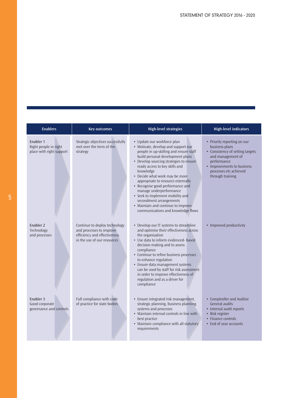| <b>Enablers</b>                                                | <b>Key outcomes</b>                                                                                                      | <b>High-level strategies</b>                                                                                                                                                                                                                                                                                                                                                                                                                                                                                                 | <b>High-level indicators</b>                                                                                                                                                                      |
|----------------------------------------------------------------|--------------------------------------------------------------------------------------------------------------------------|------------------------------------------------------------------------------------------------------------------------------------------------------------------------------------------------------------------------------------------------------------------------------------------------------------------------------------------------------------------------------------------------------------------------------------------------------------------------------------------------------------------------------|---------------------------------------------------------------------------------------------------------------------------------------------------------------------------------------------------|
| Enabler 1<br>Right people in right<br>place with right support | Strategic objectives successfully<br>met over the term of the<br>strategy                                                | • Update our workforce plan<br>• Motivate, develop and support our<br>people in up-skilling and ensure staff<br>build personal development plans<br>• Develop sourcing strategies to ensure<br>ready access to key skills and<br>knowledge<br>• Decide what work may be more<br>appropriate to resource externally<br>• Recognise good performance and<br>manage underperformance<br>• Seek to implement mobility and<br>secondment arrangements<br>• Maintain and continue to improve<br>communications and knowledge flows | • Priority reporting on our<br>business plans<br>• Consistency of setting targets<br>and management of<br>performance<br>• Improvements to business<br>processes etc achieved<br>through training |
| Enabler 2<br>Technology<br>and processes                       | Continue to deploy technology<br>and processes to improve<br>efficiency and effectiveness<br>in the use of our resources | • Develop our IT systems to streamline<br>and optimise their effectiveness across<br>the organisation<br>• Use data to inform evidenced- based<br>decision making and to assess<br>compliance<br>• Continue to refine business processes<br>to enhance regulation<br>• Ensure data management systems<br>can be used by staff for risk assessment<br>in order to improve effectiveness of<br>regulation and as a driver for<br>compliance                                                                                    | • Improved productivity                                                                                                                                                                           |
| Enabler 3<br>Good corporate<br>governance and controls         | Full compliance with code<br>of practice for state bodies                                                                | • Ensure integrated risk management,<br>strategic planning, business planning<br>systems and processes<br>• Maintain internal controls in line with<br>best practice<br>• Maintain compliance with all statutory<br>requirements                                                                                                                                                                                                                                                                                             | • Comptroller and Auditor<br><b>General audits</b><br>• Internal audit reports<br>• Risk register<br>• Finance controls<br>• End of year accounts                                                 |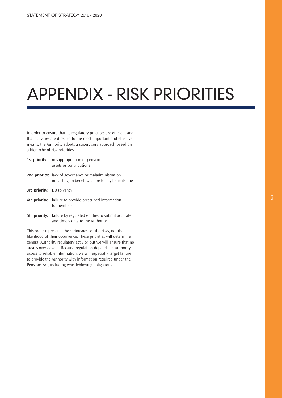# APPENDIX - RISK PRIORITIES

In order to ensure that its regulatory practices are efficient and that activities are directed to the most important and effective means, the Authority adopts a supervisory approach based on a hierarchy of risk priorities:

|                                  | <b>1st priority:</b> misappropriation of pension<br>assets or contributions.                                      |
|----------------------------------|-------------------------------------------------------------------------------------------------------------------|
|                                  | <b>2nd priority:</b> lack of governance or maladministration<br>impacting on benefits/failure to pay benefits due |
| <b>3rd priority:</b> DB solvency |                                                                                                                   |
|                                  | 4th priority: failure to provide prescribed information<br>to members                                             |

**5th priority:** failure by regulated entities to submit accurate and timely data to the Authority

This order represents the seriousness of the risks, not the likelihood of their occurrence. These priorities will determine general Authority regulatory activity, but we will ensure that no area is overlooked. Because regulation depends on Authority access to reliable information, we will especially target failure to provide the Authority with information required under the Pensions Act, including whistleblowing obligations.